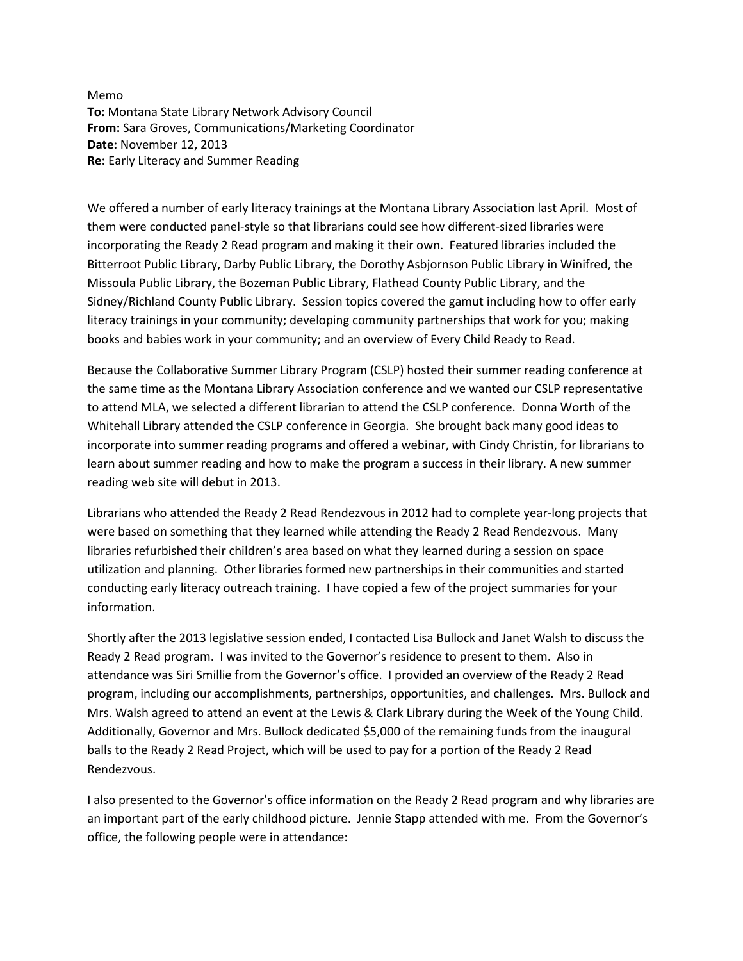Memo **To:** Montana State Library Network Advisory Council **From:** Sara Groves, Communications/Marketing Coordinator **Date:** November 12, 2013 **Re:** Early Literacy and Summer Reading

We offered a number of early literacy trainings at the Montana Library Association last April. Most of them were conducted panel-style so that librarians could see how different-sized libraries were incorporating the Ready 2 Read program and making it their own. Featured libraries included the Bitterroot Public Library, Darby Public Library, the Dorothy Asbjornson Public Library in Winifred, the Missoula Public Library, the Bozeman Public Library, Flathead County Public Library, and the Sidney/Richland County Public Library. Session topics covered the gamut including how to offer early literacy trainings in your community; developing community partnerships that work for you; making books and babies work in your community; and an overview of Every Child Ready to Read.

Because the Collaborative Summer Library Program (CSLP) hosted their summer reading conference at the same time as the Montana Library Association conference and we wanted our CSLP representative to attend MLA, we selected a different librarian to attend the CSLP conference. Donna Worth of the Whitehall Library attended the CSLP conference in Georgia. She brought back many good ideas to incorporate into summer reading programs and offered a webinar, with Cindy Christin, for librarians to learn about summer reading and how to make the program a success in their library. A new summer reading web site will debut in 2013.

Librarians who attended the Ready 2 Read Rendezvous in 2012 had to complete year-long projects that were based on something that they learned while attending the Ready 2 Read Rendezvous. Many libraries refurbished their children's area based on what they learned during a session on space utilization and planning. Other libraries formed new partnerships in their communities and started conducting early literacy outreach training. I have copied a few of the project summaries for your information.

Shortly after the 2013 legislative session ended, I contacted Lisa Bullock and Janet Walsh to discuss the Ready 2 Read program. I was invited to the Governor's residence to present to them. Also in attendance was Siri Smillie from the Governor's office. I provided an overview of the Ready 2 Read program, including our accomplishments, partnerships, opportunities, and challenges. Mrs. Bullock and Mrs. Walsh agreed to attend an event at the Lewis & Clark Library during the Week of the Young Child. Additionally, Governor and Mrs. Bullock dedicated \$5,000 of the remaining funds from the inaugural balls to the Ready 2 Read Project, which will be used to pay for a portion of the Ready 2 Read Rendezvous.

I also presented to the Governor's office information on the Ready 2 Read program and why libraries are an important part of the early childhood picture. Jennie Stapp attended with me. From the Governor's office, the following people were in attendance: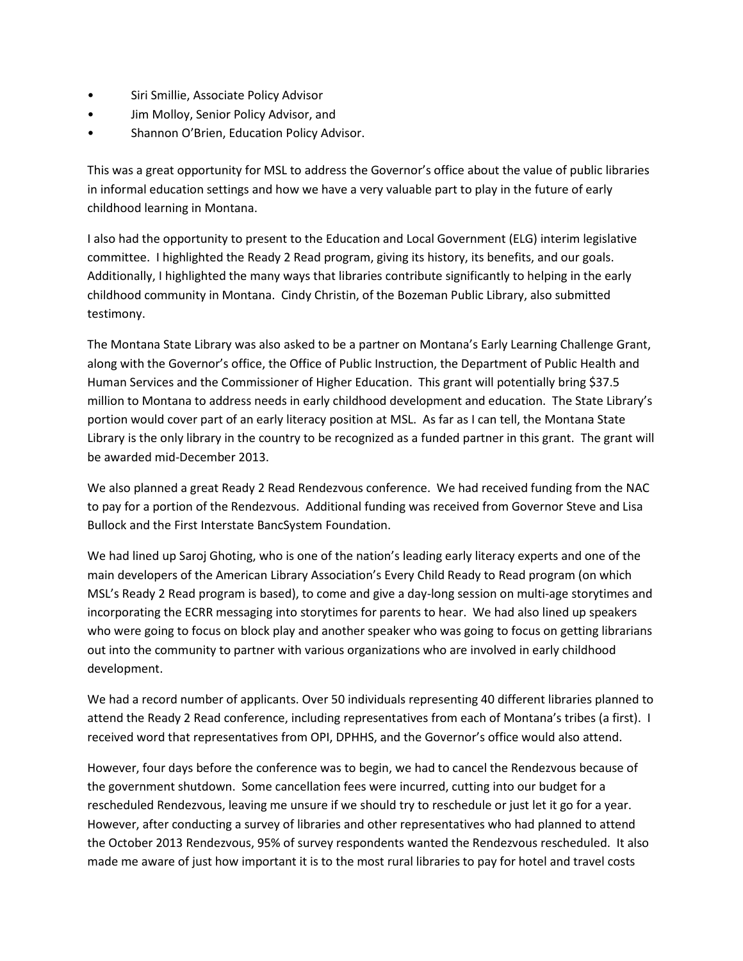- Siri Smillie, Associate Policy Advisor
- Jim Molloy, Senior Policy Advisor, and
- Shannon O'Brien, Education Policy Advisor.

This was a great opportunity for MSL to address the Governor's office about the value of public libraries in informal education settings and how we have a very valuable part to play in the future of early childhood learning in Montana.

I also had the opportunity to present to the Education and Local Government (ELG) interim legislative committee. I highlighted the Ready 2 Read program, giving its history, its benefits, and our goals. Additionally, I highlighted the many ways that libraries contribute significantly to helping in the early childhood community in Montana. Cindy Christin, of the Bozeman Public Library, also submitted testimony.

The Montana State Library was also asked to be a partner on Montana's Early Learning Challenge Grant, along with the Governor's office, the Office of Public Instruction, the Department of Public Health and Human Services and the Commissioner of Higher Education. This grant will potentially bring \$37.5 million to Montana to address needs in early childhood development and education. The State Library's portion would cover part of an early literacy position at MSL. As far as I can tell, the Montana State Library is the only library in the country to be recognized as a funded partner in this grant. The grant will be awarded mid-December 2013.

We also planned a great Ready 2 Read Rendezvous conference. We had received funding from the NAC to pay for a portion of the Rendezvous. Additional funding was received from Governor Steve and Lisa Bullock and the First Interstate BancSystem Foundation.

We had lined up Saroj Ghoting, who is one of the nation's leading early literacy experts and one of the main developers of the American Library Association's Every Child Ready to Read program (on which MSL's Ready 2 Read program is based), to come and give a day-long session on multi-age storytimes and incorporating the ECRR messaging into storytimes for parents to hear. We had also lined up speakers who were going to focus on block play and another speaker who was going to focus on getting librarians out into the community to partner with various organizations who are involved in early childhood development.

We had a record number of applicants. Over 50 individuals representing 40 different libraries planned to attend the Ready 2 Read conference, including representatives from each of Montana's tribes (a first). I received word that representatives from OPI, DPHHS, and the Governor's office would also attend.

However, four days before the conference was to begin, we had to cancel the Rendezvous because of the government shutdown. Some cancellation fees were incurred, cutting into our budget for a rescheduled Rendezvous, leaving me unsure if we should try to reschedule or just let it go for a year. However, after conducting a survey of libraries and other representatives who had planned to attend the October 2013 Rendezvous, 95% of survey respondents wanted the Rendezvous rescheduled. It also made me aware of just how important it is to the most rural libraries to pay for hotel and travel costs